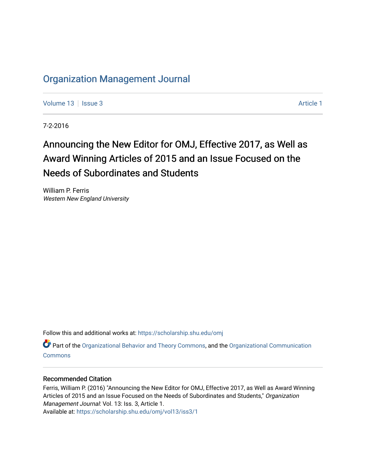## [Organization Management Journal](https://scholarship.shu.edu/omj)

[Volume 13](https://scholarship.shu.edu/omj/vol13) | [Issue 3](https://scholarship.shu.edu/omj/vol13/iss3) [Article 1](https://scholarship.shu.edu/omj/vol13/iss3/1) | Issue 3 Article 1 | Issue 3 | Issue 3 | Issue 3 | Issue 3 | Issue 3 | Issue 3 | Issue 3 | Issue 3 | Issue 3 | Issue 3 | Issue 3 | Issue 3 | Issue 3 | Issue 3 | Issue 3 | Issue 3 | Issue 3 |

7-2-2016

# Announcing the New Editor for OMJ, Effective 2017, as Well as Award Winning Articles of 2015 and an Issue Focused on the Needs of Subordinates and Students

William P. Ferris Western New England University

Follow this and additional works at: [https://scholarship.shu.edu/omj](https://scholarship.shu.edu/omj?utm_source=scholarship.shu.edu%2Fomj%2Fvol13%2Fiss3%2F1&utm_medium=PDF&utm_campaign=PDFCoverPages) 

Part of the [Organizational Behavior and Theory Commons,](http://network.bepress.com/hgg/discipline/639?utm_source=scholarship.shu.edu%2Fomj%2Fvol13%2Fiss3%2F1&utm_medium=PDF&utm_campaign=PDFCoverPages) and the [Organizational Communication](http://network.bepress.com/hgg/discipline/335?utm_source=scholarship.shu.edu%2Fomj%2Fvol13%2Fiss3%2F1&utm_medium=PDF&utm_campaign=PDFCoverPages) [Commons](http://network.bepress.com/hgg/discipline/335?utm_source=scholarship.shu.edu%2Fomj%2Fvol13%2Fiss3%2F1&utm_medium=PDF&utm_campaign=PDFCoverPages)

#### Recommended Citation

Ferris, William P. (2016) "Announcing the New Editor for OMJ, Effective 2017, as Well as Award Winning Articles of 2015 and an Issue Focused on the Needs of Subordinates and Students," Organization Management Journal: Vol. 13: Iss. 3, Article 1.

Available at: [https://scholarship.shu.edu/omj/vol13/iss3/1](https://scholarship.shu.edu/omj/vol13/iss3/1?utm_source=scholarship.shu.edu%2Fomj%2Fvol13%2Fiss3%2F1&utm_medium=PDF&utm_campaign=PDFCoverPages)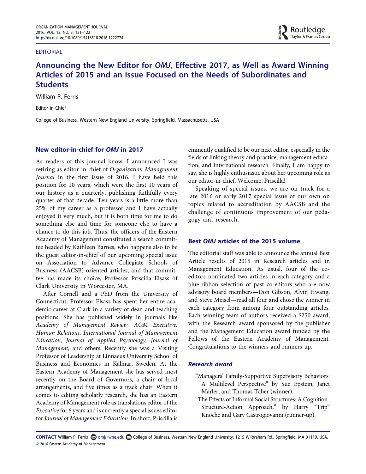#### EDITORIAL

### Announcing the New Editor for OMJ, Effective 2017, as Well as Award Winning Articles of 2015 and an Issue Focused on the Needs of Subordinates and **Students**

William P. Ferris

Editor-in-Chief

College of Business, Western New England University, Springfield, Massachusetts, USA

#### New editor-in-chief for OMJ in 2017

As readers of this journal know, I announced I was retiring as editor-in-chief of Organization Management Journal in the first issue of 2016. I have held this position for 10 years, which were the first 10 years of our history as a quarterly, publishing faithfully every quarter of that decade. Ten years is a little more than 25% of my career as a professor and I have actually enjoyed it very much, but it is both time for me to do something else and time for someone else to have a chance to do this job. Thus, the officers of the Eastern Academy of Management constituted a search committee headed by Kathleen Barnes, who happens also to be the guest editor-in-chief of our upcoming special issue on Association to Advance Collegiate Schools of Business (AACSB)-oriented articles, and that committee has made its choice, Professor Priscilla Elsass of Clark University in Worcester, MA.

After Cornell and a PhD from the University of Connecticut, Professor Elsass has spent her entire academic career at Clark in a variety of dean and teaching positions. She has published widely in journals like Academy of Management Review, AOM Executive, Human Relations, International Journal of Management Education, Journal of Applied Psychology, Journal of Management, and others. Recently she was a Visiting Professor of Leadership at Linnaeus University School of Business and Economics in Kalmar, Sweden. At the Eastern Academy of Management she has served most recently on the Board of Governors, a chair of local arrangements, and five times as a track chair. When it comes to editing scholarly research, she has an Eastern Academy of Management role as translations editor of the Executive for 6 years and is currently a special issues editor for Journal of Management Education. In short, Priscilla is

eminently qualified to be our next editor, especially in the fields of linking theory and practice, management education, and international research. Finally, I am happy to say, she is highly enthusiastic about her upcoming role as our editor-in-chief. Welcome, Priscilla!

Speaking of special issues, we are on track for a late 2016 or early 2017 special issue of our own on topics related to accreditation by AACSB and the challenge of continuous improvement of our pedagogy and research.

#### Best OMJ articles of the 2015 volume

The editorial staff was able to announce the annual Best Article results of 2015 in Research articles and in Management Education. As usual, four of the coeditors nominated two articles in each category and a blue-ribbon selection of past co-editors who are now advisory board members—Don Gibson, Alvin Hwang, and Steve Meisel—read all four and chose the winner in each category from among four outstanding articles. Each winning team of authors received a \$250 award, with the Research award sponsored by the publisher and the Management Education award funded by the Fellows of the Eastern Academy of Management. Congratulations to the winners and runners-up.

#### Research award

- "Managers' Family-Supportive Supervisory Behaviors: A Multilevel Perspective" by Sue Epstein, Janet Marler, and Thomas Taber (winner).
- "The Effects of Informal Social Structures: A Cognition-Structure-Action Approach," by Harry "Trip" Knoche and Gary Castrogiovanni (runner-up).

CONTACT William P. Ferris ۞ omj@wne.edu **©** College of Business, Western New England University, 1215 Wilbraham Rd., Springfield, MA 01119, USA. © 2016 Eastern Academy of Management